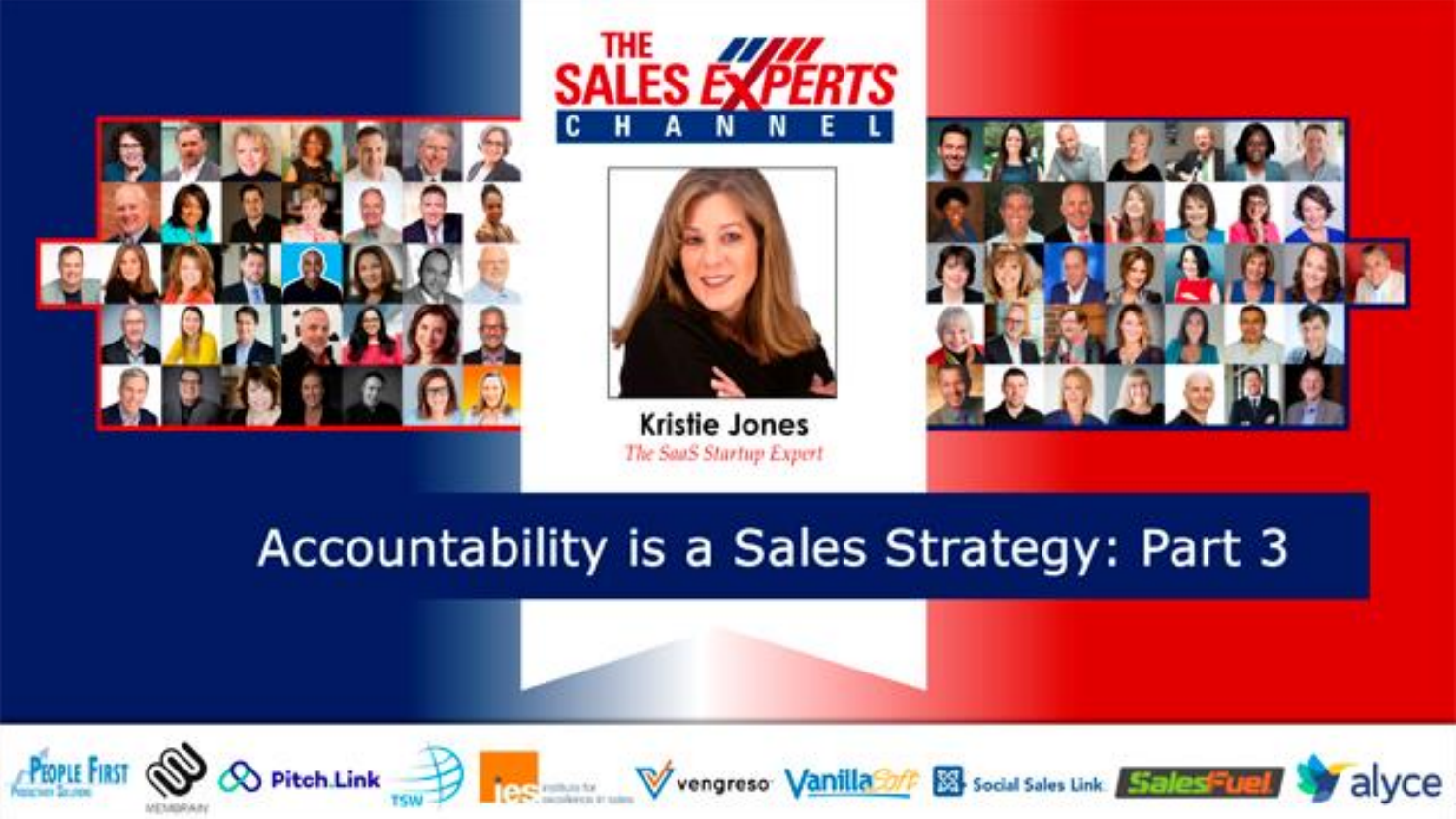





**Kristie Jones** The SaaS Startup Expert



alyce

Social Sales Link

#### Accountability is a Sales Strategy: Part 3

vengreso Vanilla Off

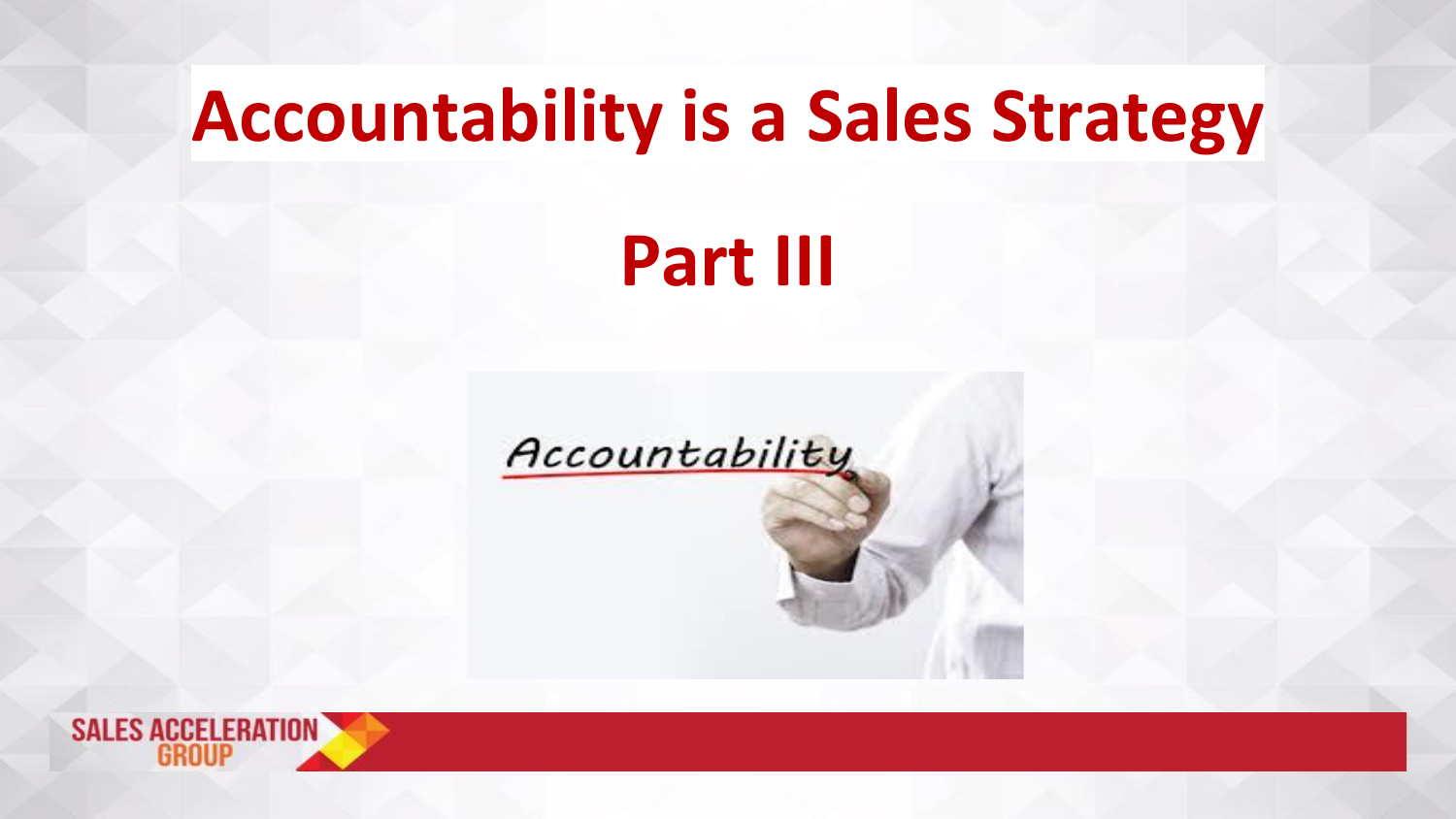#### **Accountability is a Sales Strategy**

#### **Part III**

Accountability

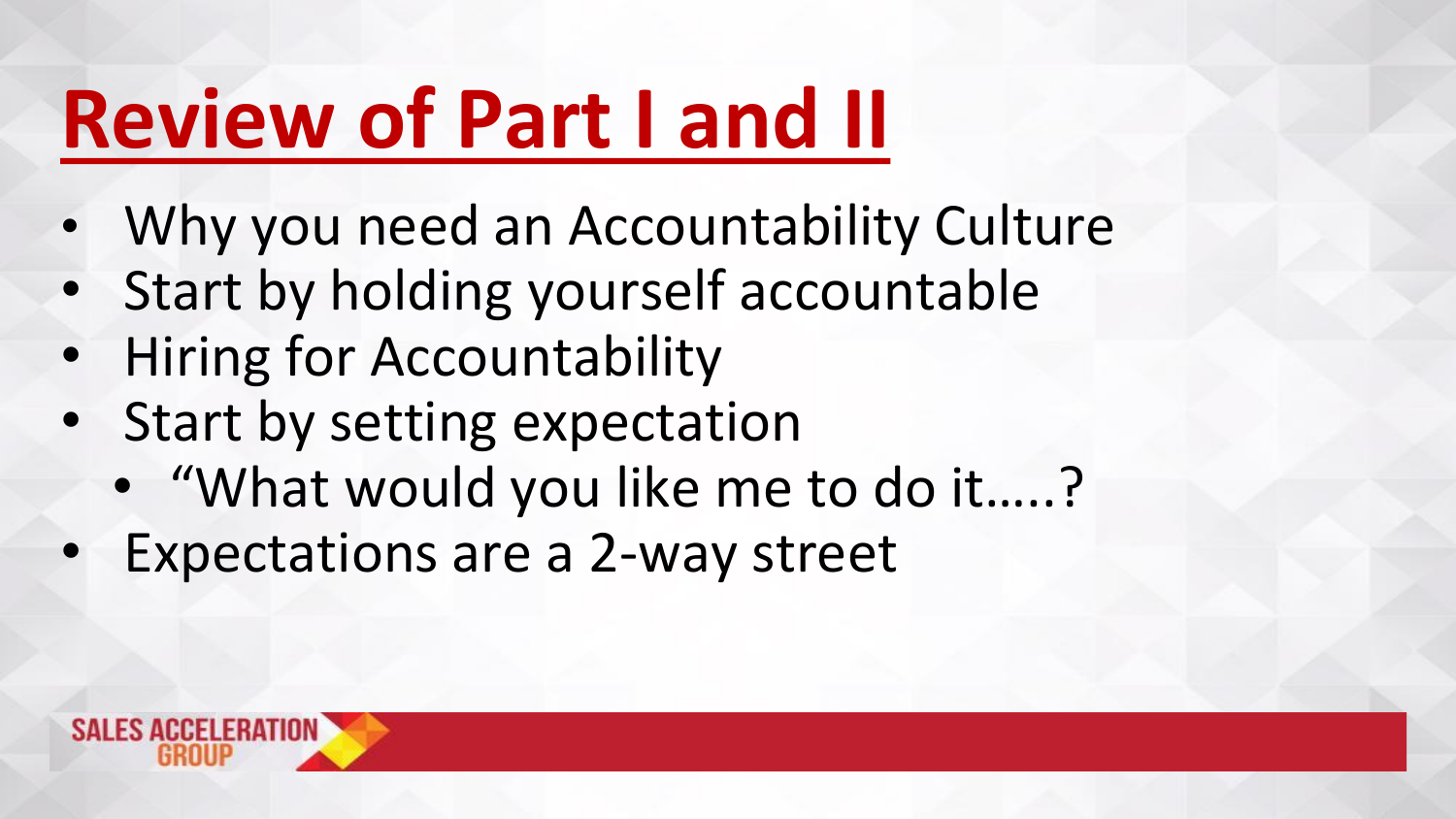## **Review of Part I and II**

- Why you need an Accountability Culture
- Start by holding yourself accountable
- Hiring for Accountability
- Start by setting expectation
	- "What would you like me to do it…..?
- Expectations are a 2-way street

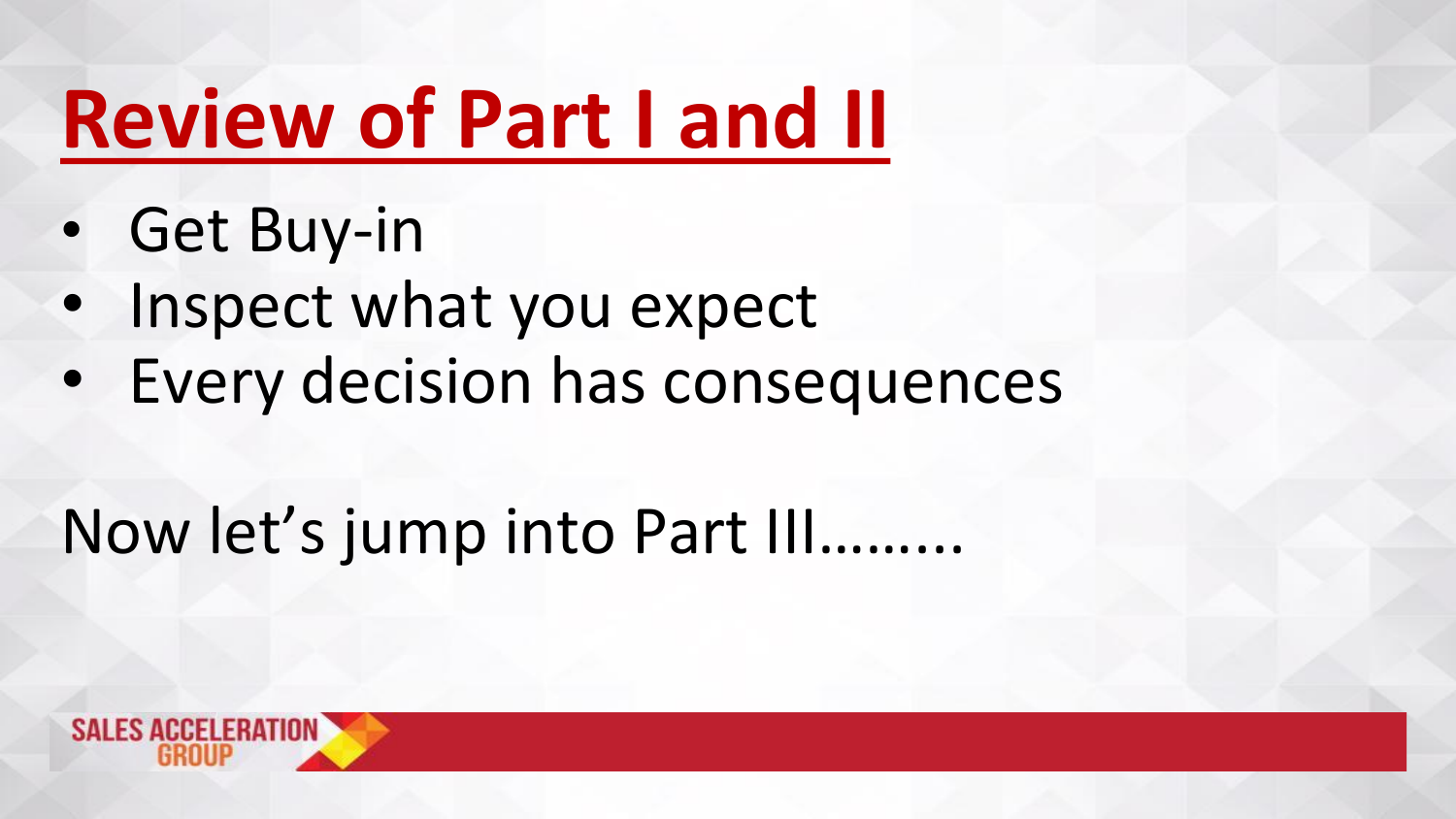## **Review of Part I and II**

- Get Buy-in
- Inspect what you expect
- Every decision has consequences

#### Now let's jump into Part III……...

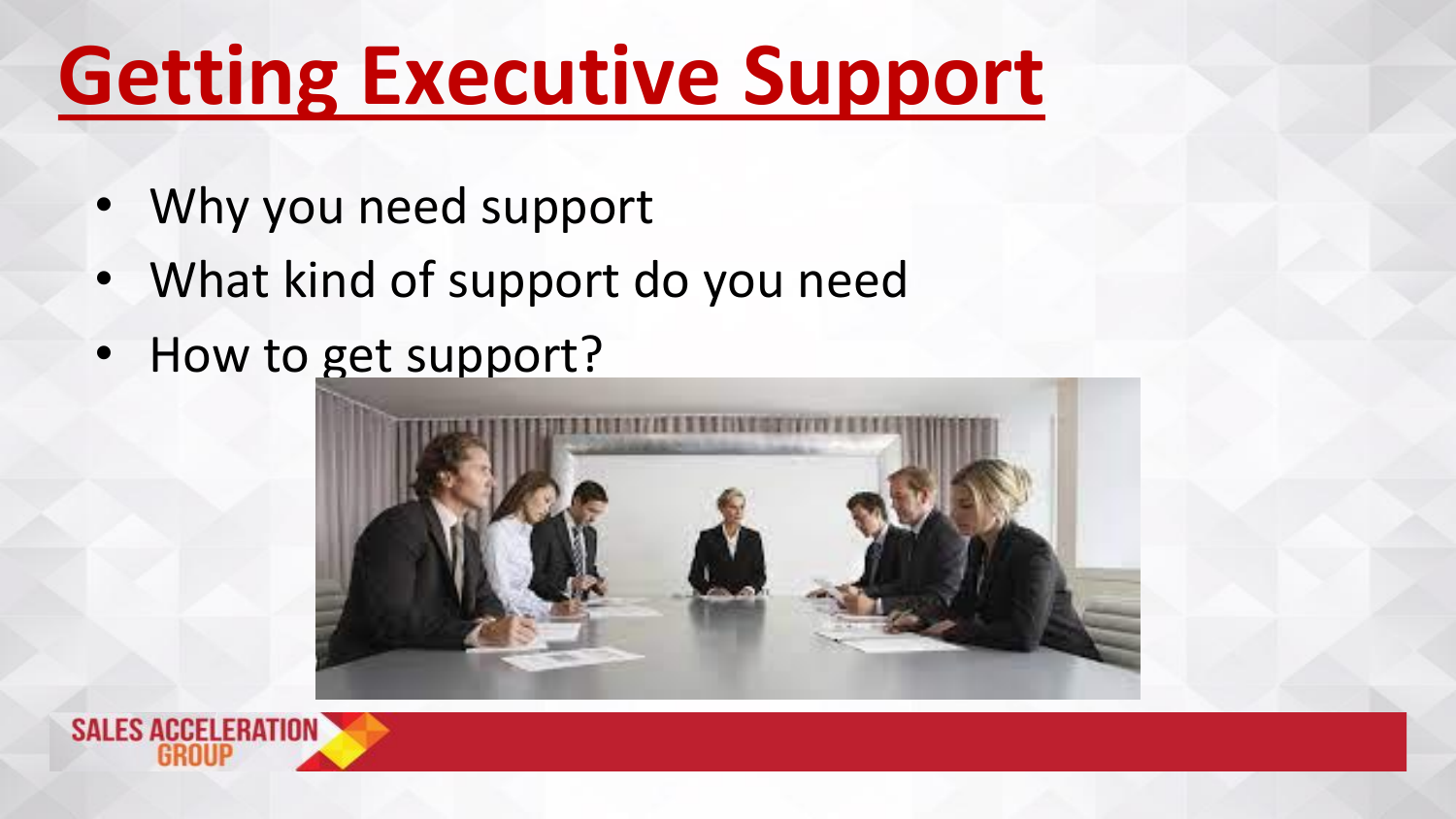# **Getting Executive Support**

- Why you need support
- What kind of support do you need
- How to get support?



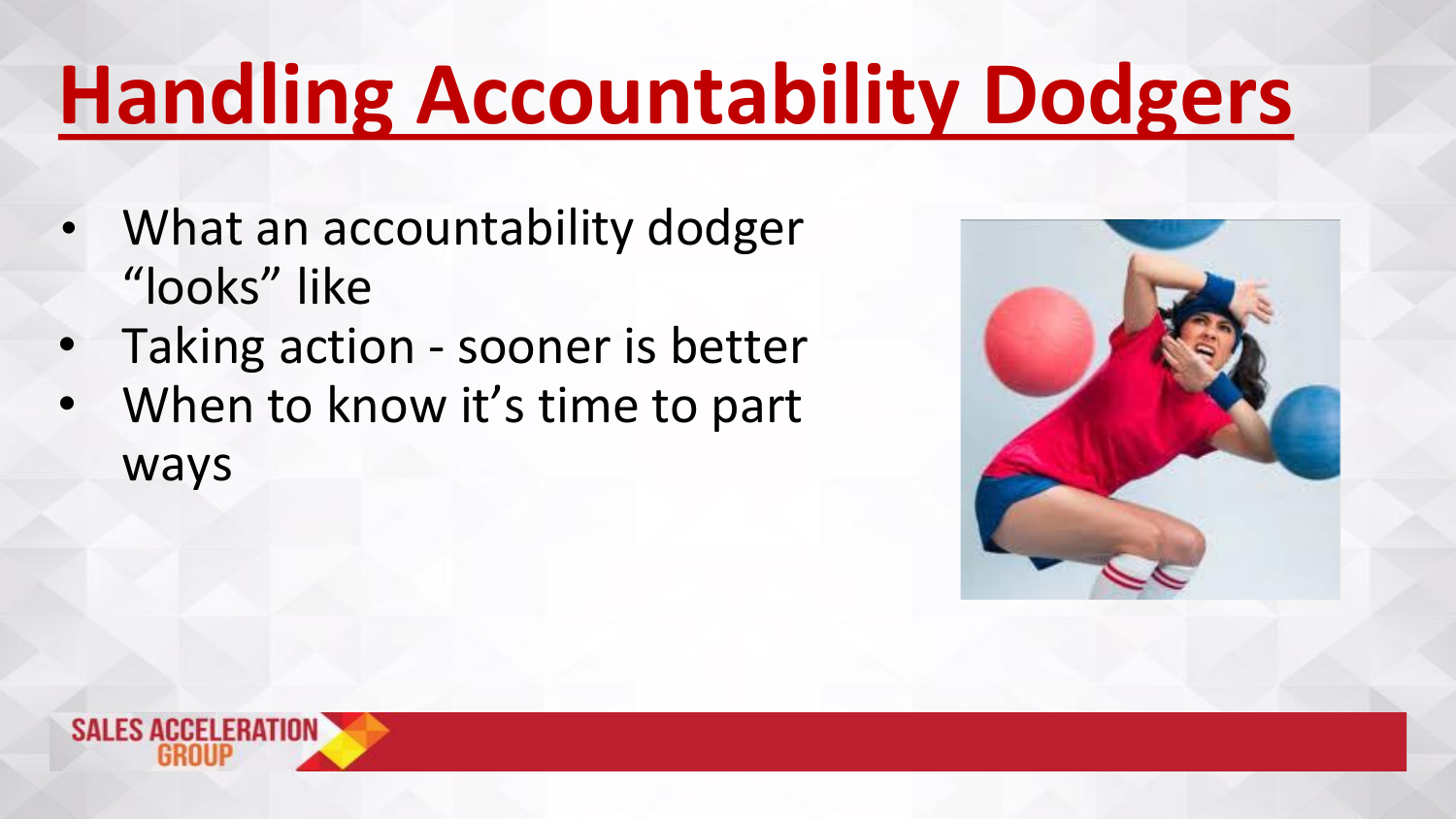# **Handling Accountability Dodgers**

- What an accountability dodger "looks" like
- Taking action sooner is better
- When to know it's time to part ways



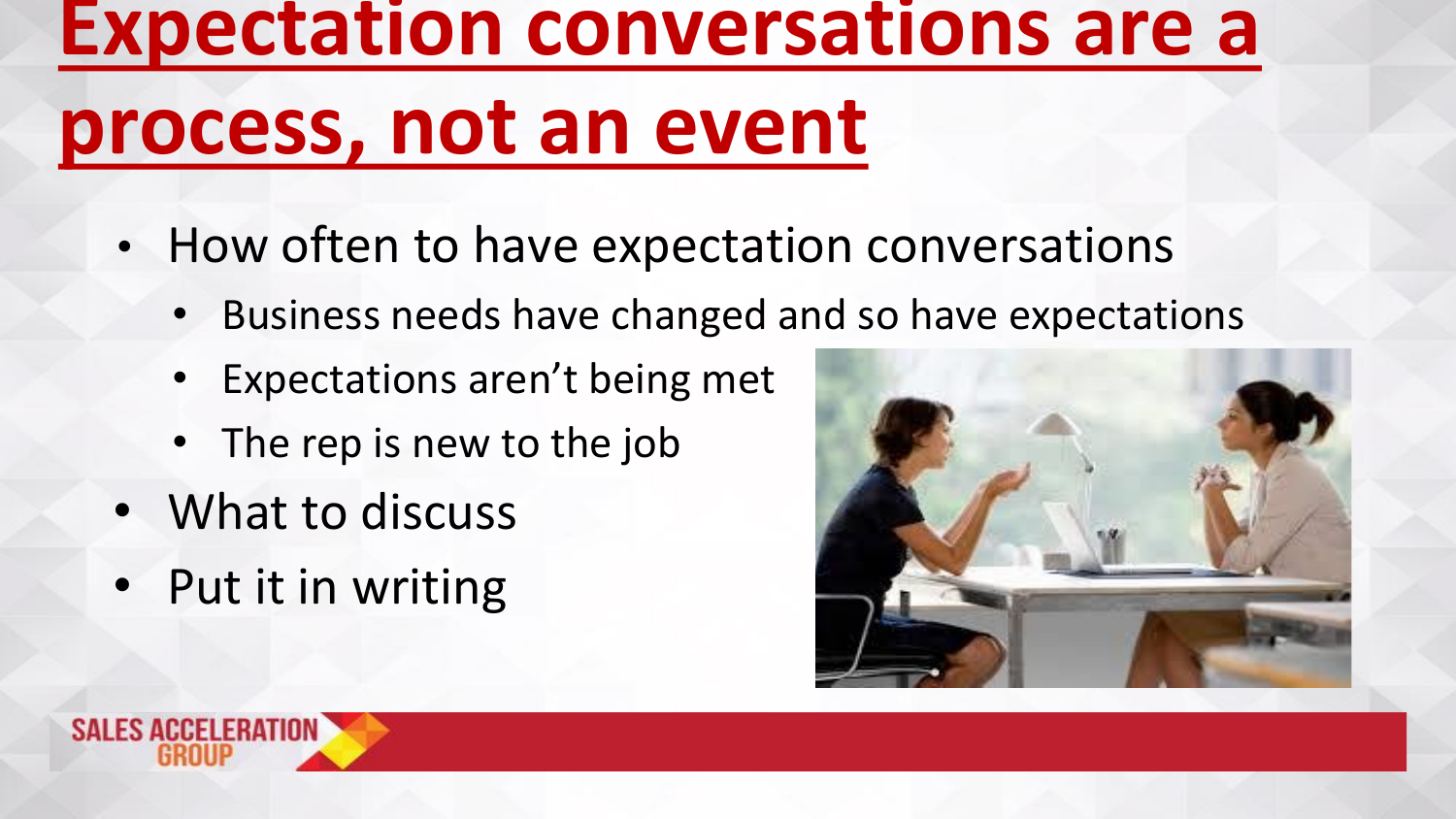#### **Expectation conversations are a**

### **process, not an event**

- How often to have expectation conversations
	- Business needs have changed and so have expectations
	- Expectations aren't being met
	- The rep is new to the job
- What to discuss
- Put it in writing



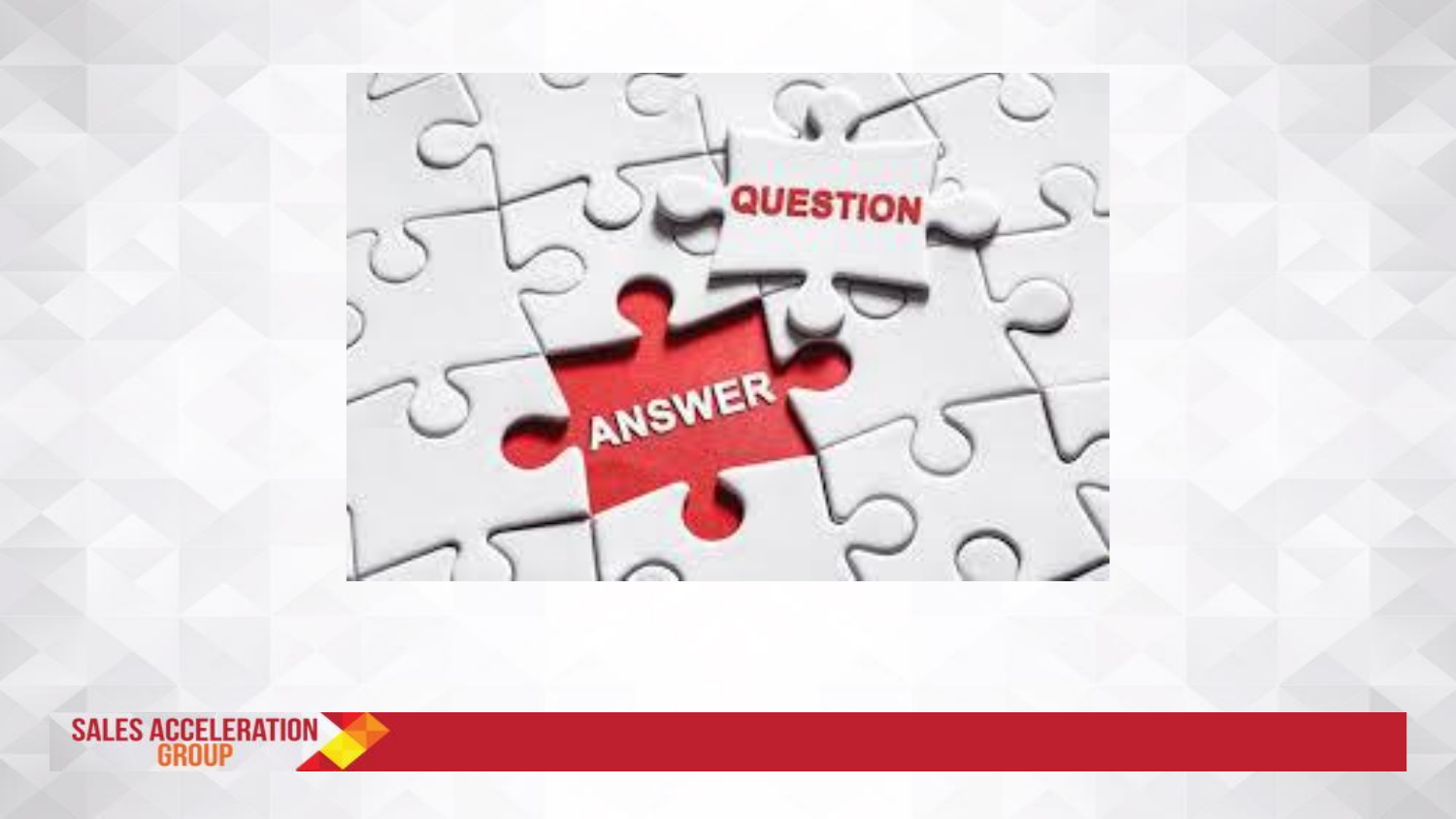

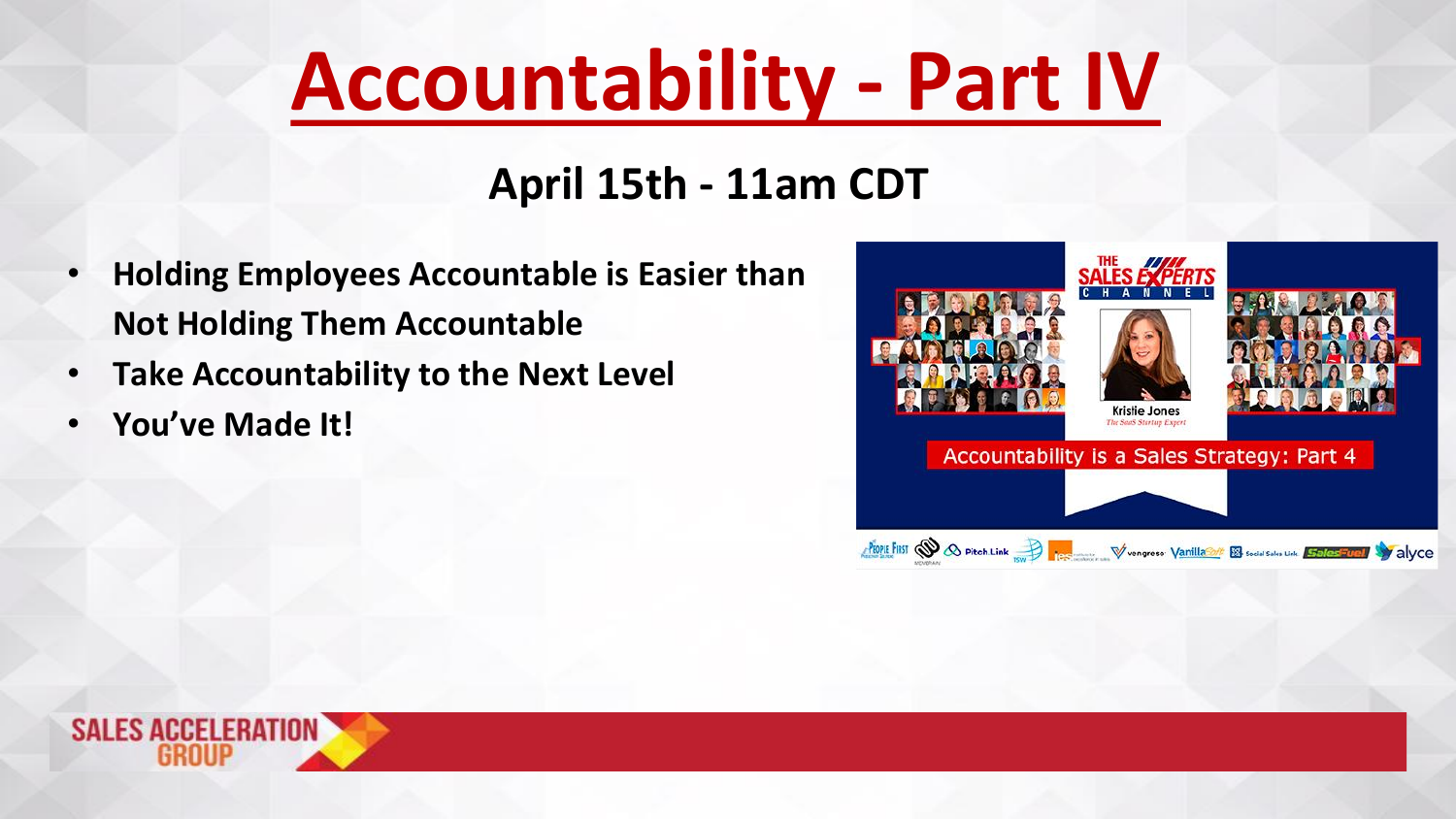## **Accountability - Part IV**

#### **April 15th - 11am CDT**

- **Holding Employees Accountable is Easier than Not Holding Them Accountable**
- **Take Accountability to the Next Level**
- **You've Made It!**